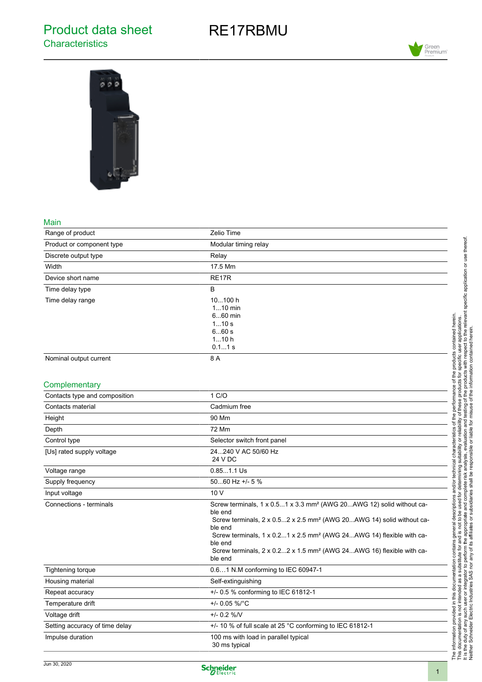## Product data sheet **Characteristics**

# RE17RBMU





#### Main

| Range of product                               | Zelio Time                                                                                                                                                                                                                                                                                                                                                                                           |
|------------------------------------------------|------------------------------------------------------------------------------------------------------------------------------------------------------------------------------------------------------------------------------------------------------------------------------------------------------------------------------------------------------------------------------------------------------|
| Product or component type                      | Modular timing relay                                                                                                                                                                                                                                                                                                                                                                                 |
| Discrete output type                           | Relay                                                                                                                                                                                                                                                                                                                                                                                                |
| Width                                          | 17.5 Mm                                                                                                                                                                                                                                                                                                                                                                                              |
| Device short name                              | RE17R                                                                                                                                                                                                                                                                                                                                                                                                |
| Time delay type                                | B                                                                                                                                                                                                                                                                                                                                                                                                    |
| Time delay range                               | 10100 h<br>$110$ min<br>$660$ min<br>110s<br>6.60s<br>110h<br>$0.11$ s                                                                                                                                                                                                                                                                                                                               |
| Nominal output current                         | 8 A                                                                                                                                                                                                                                                                                                                                                                                                  |
| Complementary<br>Contacts type and composition | 1 C/O                                                                                                                                                                                                                                                                                                                                                                                                |
| Contacts material                              | Cadmium free                                                                                                                                                                                                                                                                                                                                                                                         |
| Height                                         | 90 Mm                                                                                                                                                                                                                                                                                                                                                                                                |
| Depth                                          | 72 Mm                                                                                                                                                                                                                                                                                                                                                                                                |
| Control type                                   | Selector switch front panel                                                                                                                                                                                                                                                                                                                                                                          |
| [Us] rated supply voltage                      | 24240 V AC 50/60 Hz<br>24 V DC                                                                                                                                                                                                                                                                                                                                                                       |
| Voltage range                                  | $0.851.1$ Us                                                                                                                                                                                                                                                                                                                                                                                         |
| Supply frequency                               | 5060 Hz +/- 5 %                                                                                                                                                                                                                                                                                                                                                                                      |
| Input voltage                                  | 10 V                                                                                                                                                                                                                                                                                                                                                                                                 |
| Connections - terminals                        | Screw terminals, 1 x 0.51 x 3.3 mm <sup>2</sup> (AWG 20AWG 12) solid without ca-<br>ble end<br>Screw terminals, $2 \times 0.52 \times 2.5$ mm <sup>2</sup> (AWG 20AWG 14) solid without ca-<br>ble end<br>Screw terminals, 1 x 0.21 x 2.5 mm <sup>2</sup> (AWG 24AWG 14) flexible with ca-<br>ble end<br>Screw terminals, 2 x 0.22 x 1.5 mm <sup>2</sup> (AWG 24AWG 16) flexible with ca-<br>ble end |
| Tightening torque                              | 0.61 N.M conforming to IEC 60947-1                                                                                                                                                                                                                                                                                                                                                                   |
| Housing material                               | Self-extinguishing                                                                                                                                                                                                                                                                                                                                                                                   |
| Repeat accuracy                                | +/- 0.5 % conforming to IEC 61812-1                                                                                                                                                                                                                                                                                                                                                                  |
| Temperature drift                              | +/- 0.05 %/°C                                                                                                                                                                                                                                                                                                                                                                                        |
| Voltage drift                                  | $+/- 0.2 %$                                                                                                                                                                                                                                                                                                                                                                                          |
| Setting accuracy of time delay                 | +/- 10 % of full scale at 25 °C conforming to IEC 61812-1                                                                                                                                                                                                                                                                                                                                            |
| Impulse duration                               | 100 ms with load in parallel typical<br>30 ms typical                                                                                                                                                                                                                                                                                                                                                |

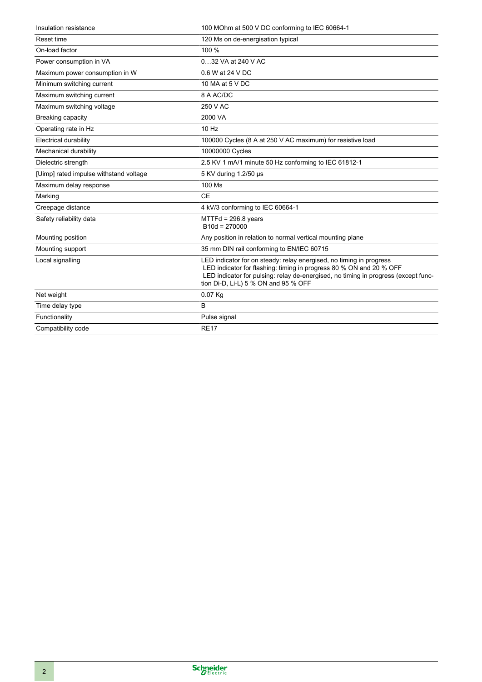| Insulation resistance                  | 100 MOhm at 500 V DC conforming to IEC 60664-1                                                                                                                                                                                                                           |
|----------------------------------------|--------------------------------------------------------------------------------------------------------------------------------------------------------------------------------------------------------------------------------------------------------------------------|
| Reset time                             | 120 Ms on de-energisation typical                                                                                                                                                                                                                                        |
| On-load factor                         | 100 %                                                                                                                                                                                                                                                                    |
| Power consumption in VA                | 032 VA at 240 V AC                                                                                                                                                                                                                                                       |
| Maximum power consumption in W         | 0.6 W at 24 V DC                                                                                                                                                                                                                                                         |
| Minimum switching current              | 10 MA at 5 V DC                                                                                                                                                                                                                                                          |
| Maximum switching current              | 8 A AC/DC                                                                                                                                                                                                                                                                |
| Maximum switching voltage              | 250 V AC                                                                                                                                                                                                                                                                 |
| Breaking capacity                      | 2000 VA                                                                                                                                                                                                                                                                  |
| Operating rate in Hz                   | 10 Hz                                                                                                                                                                                                                                                                    |
| <b>Electrical durability</b>           | 100000 Cycles (8 A at 250 V AC maximum) for resistive load                                                                                                                                                                                                               |
| Mechanical durability                  | 10000000 Cycles                                                                                                                                                                                                                                                          |
| Dielectric strength                    | 2.5 KV 1 mA/1 minute 50 Hz conforming to IEC 61812-1                                                                                                                                                                                                                     |
| [Uimp] rated impulse withstand voltage | 5 KV during 1.2/50 µs                                                                                                                                                                                                                                                    |
| Maximum delay response                 | 100 Ms                                                                                                                                                                                                                                                                   |
| Marking                                | <b>CE</b>                                                                                                                                                                                                                                                                |
| Creepage distance                      | 4 kV/3 conforming to IEC 60664-1                                                                                                                                                                                                                                         |
| Safety reliability data                | $MTTH = 296.8$ years<br>$B10d = 270000$                                                                                                                                                                                                                                  |
| Mounting position                      | Any position in relation to normal vertical mounting plane                                                                                                                                                                                                               |
| Mounting support                       | 35 mm DIN rail conforming to EN/IEC 60715                                                                                                                                                                                                                                |
| Local signalling                       | LED indicator for on steady: relay energised, no timing in progress<br>LED indicator for flashing: timing in progress 80 % ON and 20 % OFF<br>LED indicator for pulsing: relay de-energised, no timing in progress (except func-<br>tion Di-D, Li-L) 5 % ON and 95 % OFF |
| Net weight                             | $0.07$ Kg                                                                                                                                                                                                                                                                |
| Time delay type                        | B                                                                                                                                                                                                                                                                        |
| Functionality                          | Pulse signal                                                                                                                                                                                                                                                             |
| Compatibility code                     | <b>RE17</b>                                                                                                                                                                                                                                                              |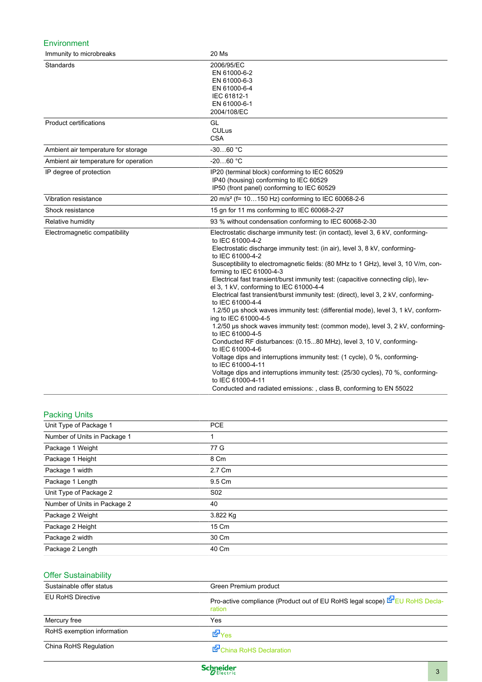#### Environment

| Immunity to microbreaks               | 20 Ms                                                                                                                                                                                                                                                                                                                                                                                                                                                                                                                                                                                                                                                                                                                                                                                                                                                                                                                                                                                                                                                                                                                                                              |
|---------------------------------------|--------------------------------------------------------------------------------------------------------------------------------------------------------------------------------------------------------------------------------------------------------------------------------------------------------------------------------------------------------------------------------------------------------------------------------------------------------------------------------------------------------------------------------------------------------------------------------------------------------------------------------------------------------------------------------------------------------------------------------------------------------------------------------------------------------------------------------------------------------------------------------------------------------------------------------------------------------------------------------------------------------------------------------------------------------------------------------------------------------------------------------------------------------------------|
| Standards                             | 2006/95/EC<br>EN 61000-6-2<br>EN 61000-6-3<br>EN 61000-6-4<br>IEC 61812-1<br>EN 61000-6-1<br>2004/108/EC                                                                                                                                                                                                                                                                                                                                                                                                                                                                                                                                                                                                                                                                                                                                                                                                                                                                                                                                                                                                                                                           |
| <b>Product certifications</b>         | GL<br><b>CULus</b><br><b>CSA</b>                                                                                                                                                                                                                                                                                                                                                                                                                                                                                                                                                                                                                                                                                                                                                                                                                                                                                                                                                                                                                                                                                                                                   |
| Ambient air temperature for storage   | $-3060 °C$                                                                                                                                                                                                                                                                                                                                                                                                                                                                                                                                                                                                                                                                                                                                                                                                                                                                                                                                                                                                                                                                                                                                                         |
| Ambient air temperature for operation | $-2060 °C$                                                                                                                                                                                                                                                                                                                                                                                                                                                                                                                                                                                                                                                                                                                                                                                                                                                                                                                                                                                                                                                                                                                                                         |
| IP degree of protection               | IP20 (terminal block) conforming to IEC 60529<br>IP40 (housing) conforming to IEC 60529<br>IP50 (front panel) conforming to IEC 60529                                                                                                                                                                                                                                                                                                                                                                                                                                                                                                                                                                                                                                                                                                                                                                                                                                                                                                                                                                                                                              |
| Vibration resistance                  | 20 m/s <sup>2</sup> (f= 10150 Hz) conforming to IEC 60068-2-6                                                                                                                                                                                                                                                                                                                                                                                                                                                                                                                                                                                                                                                                                                                                                                                                                                                                                                                                                                                                                                                                                                      |
| Shock resistance                      | 15 gn for 11 ms conforming to IEC 60068-2-27                                                                                                                                                                                                                                                                                                                                                                                                                                                                                                                                                                                                                                                                                                                                                                                                                                                                                                                                                                                                                                                                                                                       |
| Relative humidity                     | 93 % without condensation conforming to IEC 60068-2-30                                                                                                                                                                                                                                                                                                                                                                                                                                                                                                                                                                                                                                                                                                                                                                                                                                                                                                                                                                                                                                                                                                             |
| Electromagnetic compatibility         | Electrostatic discharge immunity test: (in contact), level 3, 6 kV, conforming-<br>to IEC 61000-4-2<br>Electrostatic discharge immunity test: (in air), level 3, 8 kV, conforming-<br>to IEC 61000-4-2<br>Susceptibility to electromagnetic fields: (80 MHz to 1 GHz), level 3, 10 V/m, con-<br>forming to IEC 61000-4-3<br>Electrical fast transient/burst immunity test: (capacitive connecting clip), lev-<br>el 3, 1 kV, conforming to IEC 61000-4-4<br>Electrical fast transient/burst immunity test: (direct), level 3, 2 kV, conforming-<br>to IEC 61000-4-4<br>1.2/50 µs shock waves immunity test: (differential mode), level 3, 1 kV, conform-<br>ing to IEC 61000-4-5<br>1.2/50 us shock waves immunity test: (common mode), level 3, 2 kV, conforming-<br>to IEC 61000-4-5<br>Conducted RF disturbances: (0.1580 MHz), level 3, 10 V, conforming-<br>to IEC 61000-4-6<br>Voltage dips and interruptions immunity test: (1 cycle), 0 %, conforming-<br>to IEC 61000-4-11<br>Voltage dips and interruptions immunity test: (25/30 cycles), 70 %, conforming-<br>to IEC 61000-4-11<br>Conducted and radiated emissions: , class B, conforming to EN 55022 |

#### Packing Units

| Unit Type of Package 1       | <b>PCE</b>      |
|------------------------------|-----------------|
| Number of Units in Package 1 |                 |
| Package 1 Weight             | 77 G            |
| Package 1 Height             | 8 Cm            |
| Package 1 width              | 2.7 Cm          |
| Package 1 Length             | 9.5 Cm          |
| Unit Type of Package 2       | S <sub>02</sub> |
| Number of Units in Package 2 | 40              |
| Package 2 Weight             | 3.822 Kg        |
| Package 2 Height             | 15 Cm           |
| Package 2 width              | 30 Cm           |
| Package 2 Length             | 40 Cm           |

### Offer Sustainability

| Sustainable offer status   | Green Premium product                                                                 |
|----------------------------|---------------------------------------------------------------------------------------|
| <b>EU RoHS Directive</b>   | Pro-active compliance (Product out of EU RoHS legal scope) EPEU RoHS Decla-<br>ration |
| Mercury free               | Yes                                                                                   |
| RoHS exemption information | <b>EP</b> Yes                                                                         |
| China RoHS Regulation      | China RoHS Declaration                                                                |